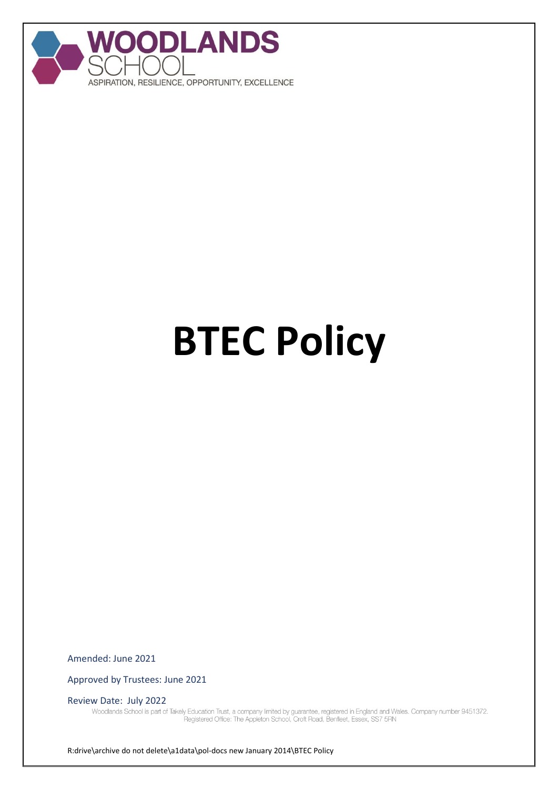

# **BTEC Policy**

Amended: June 2021

Approved by Trustees: June 2021

Review Date: July 2022<br>Woodlands School is part of Takely Education Trust, a company limited by guarantee, registered in England and Wales. Company number 9451372.<br>Registered Office: The Appleton School, Croft Road, Benfle

R:drive\archive do not delete\a1data\pol-docs new January 2014\BTEC Policy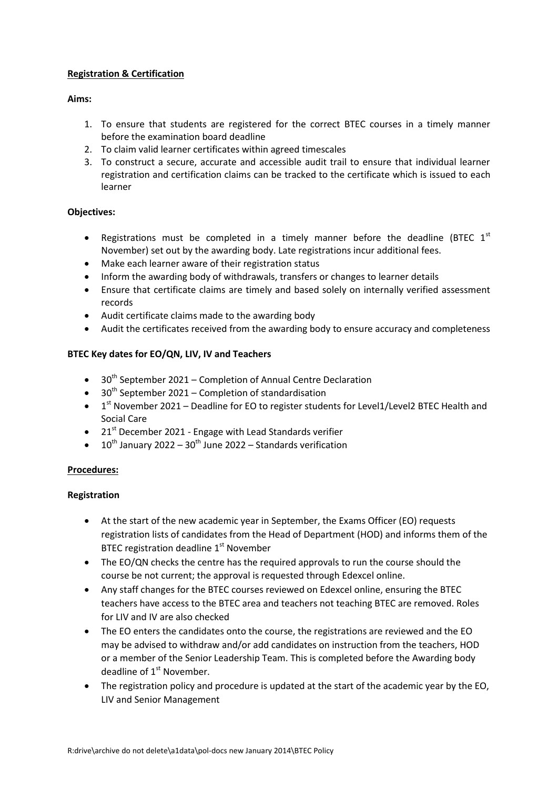# **Registration & Certification**

# **Aims:**

- 1. To ensure that students are registered for the correct BTEC courses in a timely manner before the examination board deadline
- 2. To claim valid learner certificates within agreed timescales
- 3. To construct a secure, accurate and accessible audit trail to ensure that individual learner registration and certification claims can be tracked to the certificate which is issued to each learner

# **Objectives:**

- Registrations must be completed in a timely manner before the deadline (BTEC  $1^{st}$ November) set out by the awarding body. Late registrations incur additional fees.
- Make each learner aware of their registration status
- Inform the awarding body of withdrawals, transfers or changes to learner details
- Ensure that certificate claims are timely and based solely on internally verified assessment records
- Audit certificate claims made to the awarding body
- Audit the certificates received from the awarding body to ensure accuracy and completeness

# **BTEC Key dates for EO/QN, LIV, IV and Teachers**

- $\bullet$  30<sup>th</sup> September 2021 Completion of Annual Centre Declaration
- $\bullet$  30<sup>th</sup> September 2021 Completion of standardisation
- $\bullet$  1<sup>st</sup> November 2021 Deadline for EO to register students for Level1/Level2 BTEC Health and Social Care
- 21<sup>st</sup> December 2021 Engage with Lead Standards verifier
- $10^{th}$  January 2022 30<sup>th</sup> June 2022 Standards verification

# **Procedures:**

# **Registration**

- At the start of the new academic year in September, the Exams Officer (EO) requests registration lists of candidates from the Head of Department (HOD) and informs them of the BTEC registration deadline 1<sup>st</sup> November
- The EO/QN checks the centre has the required approvals to run the course should the course be not current; the approval is requested through Edexcel online.
- Any staff changes for the BTEC courses reviewed on Edexcel online, ensuring the BTEC teachers have access to the BTEC area and teachers not teaching BTEC are removed. Roles for LIV and IV are also checked
- The EO enters the candidates onto the course, the registrations are reviewed and the EO may be advised to withdraw and/or add candidates on instruction from the teachers, HOD or a member of the Senior Leadership Team. This is completed before the Awarding body deadline of  $1<sup>st</sup>$  November.
- The registration policy and procedure is updated at the start of the academic year by the EO, LIV and Senior Management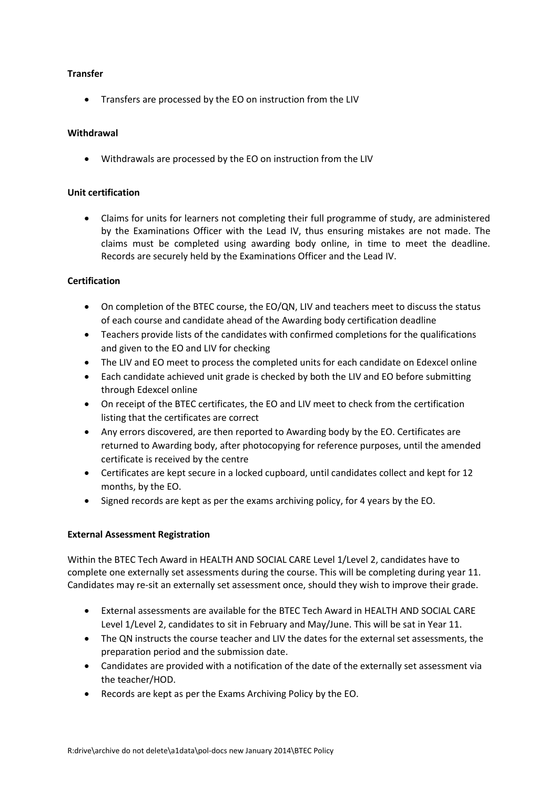### **Transfer**

• Transfers are processed by the EO on instruction from the LIV

### **Withdrawal**

Withdrawals are processed by the EO on instruction from the LIV

#### **Unit certification**

 Claims for units for learners not completing their full programme of study, are administered by the Examinations Officer with the Lead IV, thus ensuring mistakes are not made. The claims must be completed using awarding body online, in time to meet the deadline. Records are securely held by the Examinations Officer and the Lead IV.

# **Certification**

- On completion of the BTEC course, the EO/QN, LIV and teachers meet to discuss the status of each course and candidate ahead of the Awarding body certification deadline
- Teachers provide lists of the candidates with confirmed completions for the qualifications and given to the EO and LIV for checking
- The LIV and EO meet to process the completed units for each candidate on Edexcel online
- Each candidate achieved unit grade is checked by both the LIV and EO before submitting through Edexcel online
- On receipt of the BTEC certificates, the EO and LIV meet to check from the certification listing that the certificates are correct
- Any errors discovered, are then reported to Awarding body by the EO. Certificates are returned to Awarding body, after photocopying for reference purposes, until the amended certificate is received by the centre
- Certificates are kept secure in a locked cupboard, until candidates collect and kept for 12 months, by the EO.
- Signed records are kept as per the exams archiving policy, for 4 years by the EO.

# **External Assessment Registration**

Within the BTEC Tech Award in HEALTH AND SOCIAL CARE Level 1/Level 2, candidates have to complete one externally set assessments during the course. This will be completing during year 11. Candidates may re-sit an externally set assessment once, should they wish to improve their grade.

- External assessments are available for the BTEC Tech Award in HEALTH AND SOCIAL CARE Level 1/Level 2, candidates to sit in February and May/June. This will be sat in Year 11.
- The QN instructs the course teacher and LIV the dates for the external set assessments, the preparation period and the submission date.
- Candidates are provided with a notification of the date of the externally set assessment via the teacher/HOD.
- Records are kept as per the Exams Archiving Policy by the EO.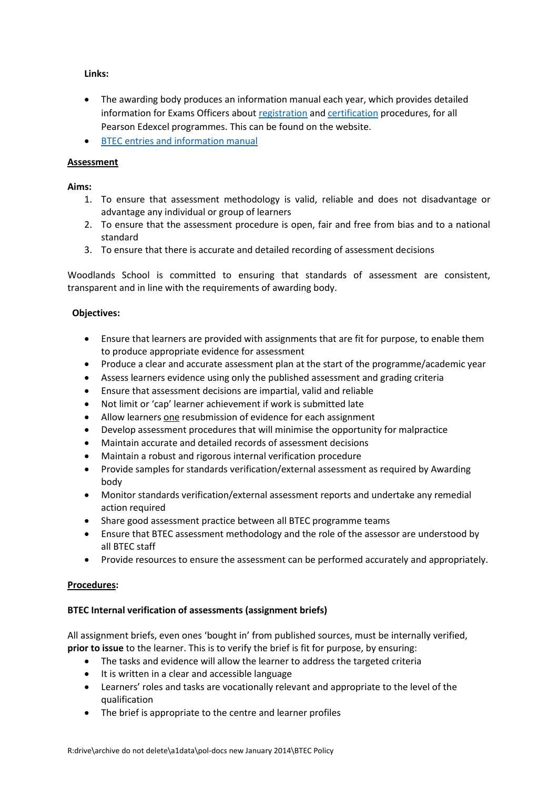**Links:** 

- The awarding body produces an information manual each year, which provides detailed information for Exams Officers about [registration](https://qualifications.pearson.com/en/support/support-topics/registrations-and-entries/vocational-registrations.html) and [certification](https://qualifications.pearson.com/en/support/support-topics/results-certification/certification.html) procedures, for all Pearson Edexcel programmes. This can be found on the website.
- **•** [BTEC entries and information manual](https://qualifications.pearson.com/en/support/support-for-you/exam-officers-administrators/entries-information-manual.html?view=manual)

# **Assessment**

**Aims:**

- 1. To ensure that assessment methodology is valid, reliable and does not disadvantage or advantage any individual or group of learners
- 2. To ensure that the assessment procedure is open, fair and free from bias and to a national standard
- 3. To ensure that there is accurate and detailed recording of assessment decisions

Woodlands School is committed to ensuring that standards of assessment are consistent, transparent and in line with the requirements of awarding body.

#### **Objectives:**

- Ensure that learners are provided with assignments that are fit for purpose, to enable them to produce appropriate evidence for assessment
- Produce a clear and accurate assessment plan at the start of the programme/academic year
- Assess learners evidence using only the published assessment and grading criteria
- Ensure that assessment decisions are impartial, valid and reliable
- Not limit or 'cap' learner achievement if work is submitted late
- Allow learners one resubmission of evidence for each assignment
- Develop assessment procedures that will minimise the opportunity for malpractice
- Maintain accurate and detailed records of assessment decisions
- Maintain a robust and rigorous internal verification procedure
- Provide samples for standards verification/external assessment as required by Awarding body
- Monitor standards verification/external assessment reports and undertake any remedial action required
- Share good assessment practice between all BTEC programme teams
- Ensure that BTEC assessment methodology and the role of the assessor are understood by all BTEC staff
- Provide resources to ensure the assessment can be performed accurately and appropriately.

#### **Procedures:**

#### **BTEC Internal verification of assessments (assignment briefs)**

All assignment briefs, even ones 'bought in' from published sources, must be internally verified, **prior to issue** to the learner. This is to verify the brief is fit for purpose, by ensuring:

- The tasks and evidence will allow the learner to address the targeted criteria
- It is written in a clear and accessible language
- Learners' roles and tasks are vocationally relevant and appropriate to the level of the qualification
- The brief is appropriate to the centre and learner profiles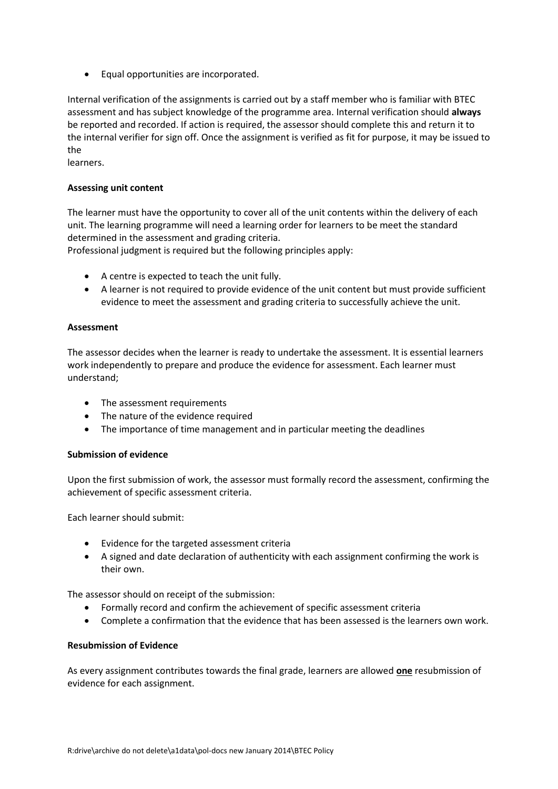Equal opportunities are incorporated.

Internal verification of the assignments is carried out by a staff member who is familiar with BTEC assessment and has subject knowledge of the programme area. Internal verification should **always**  be reported and recorded. If action is required, the assessor should complete this and return it to the internal verifier for sign off. Once the assignment is verified as fit for purpose, it may be issued to the

learners.

# **Assessing unit content**

The learner must have the opportunity to cover all of the unit contents within the delivery of each unit. The learning programme will need a learning order for learners to be meet the standard determined in the assessment and grading criteria.

Professional judgment is required but the following principles apply:

- A centre is expected to teach the unit fully.
- A learner is not required to provide evidence of the unit content but must provide sufficient evidence to meet the assessment and grading criteria to successfully achieve the unit.

#### **Assessment**

The assessor decides when the learner is ready to undertake the assessment. It is essential learners work independently to prepare and produce the evidence for assessment. Each learner must understand;

- The assessment requirements
- The nature of the evidence required
- The importance of time management and in particular meeting the deadlines

#### **Submission of evidence**

Upon the first submission of work, the assessor must formally record the assessment, confirming the achievement of specific assessment criteria.

Each learner should submit:

- Evidence for the targeted assessment criteria
- A signed and date declaration of authenticity with each assignment confirming the work is their own.

The assessor should on receipt of the submission:

- Formally record and confirm the achievement of specific assessment criteria
- Complete a confirmation that the evidence that has been assessed is the learners own work.

#### **Resubmission of Evidence**

As every assignment contributes towards the final grade, learners are allowed **one** resubmission of evidence for each assignment.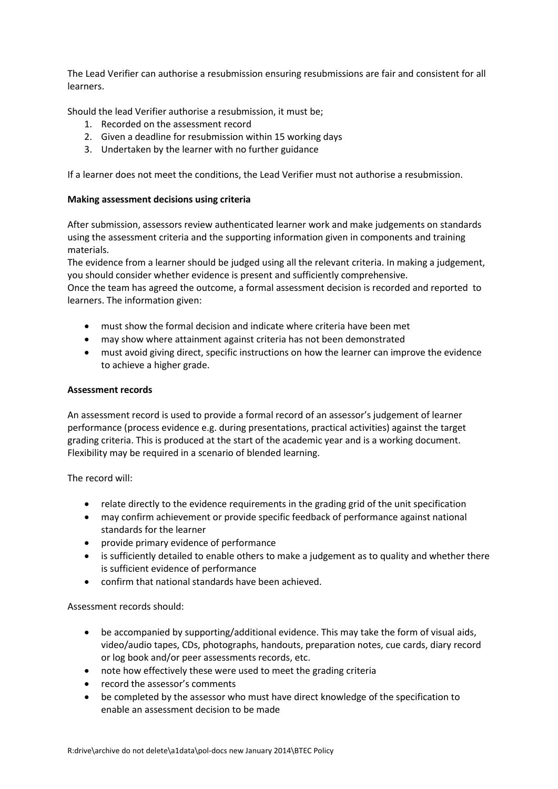The Lead Verifier can authorise a resubmission ensuring resubmissions are fair and consistent for all learners.

Should the lead Verifier authorise a resubmission, it must be;

- 1. Recorded on the assessment record
- 2. Given a deadline for resubmission within 15 working days
- 3. Undertaken by the learner with no further guidance

If a learner does not meet the conditions, the Lead Verifier must not authorise a resubmission.

#### **Making assessment decisions using criteria**

After submission, assessors review authenticated learner work and make judgements on standards using the assessment criteria and the supporting information given in components and training materials.

The evidence from a learner should be judged using all the relevant criteria. In making a judgement, you should consider whether evidence is present and sufficiently comprehensive.

Once the team has agreed the outcome, a formal assessment decision is recorded and reported to learners. The information given:

- must show the formal decision and indicate where criteria have been met
- may show where attainment against criteria has not been demonstrated
- must avoid giving direct, specific instructions on how the learner can improve the evidence to achieve a higher grade.

#### **Assessment records**

An assessment record is used to provide a formal record of an assessor's judgement of learner performance (process evidence e.g. during presentations, practical activities) against the target grading criteria. This is produced at the start of the academic year and is a working document. Flexibility may be required in a scenario of blended learning.

The record will:

- relate directly to the evidence requirements in the grading grid of the unit specification
- may confirm achievement or provide specific feedback of performance against national standards for the learner
- provide primary evidence of performance
- is sufficiently detailed to enable others to make a judgement as to quality and whether there is sufficient evidence of performance
- confirm that national standards have been achieved.

Assessment records should:

- be accompanied by supporting/additional evidence. This may take the form of visual aids, video/audio tapes, CDs, photographs, handouts, preparation notes, cue cards, diary record or log book and/or peer assessments records, etc.
- note how effectively these were used to meet the grading criteria
- record the assessor's comments
- be completed by the assessor who must have direct knowledge of the specification to enable an assessment decision to be made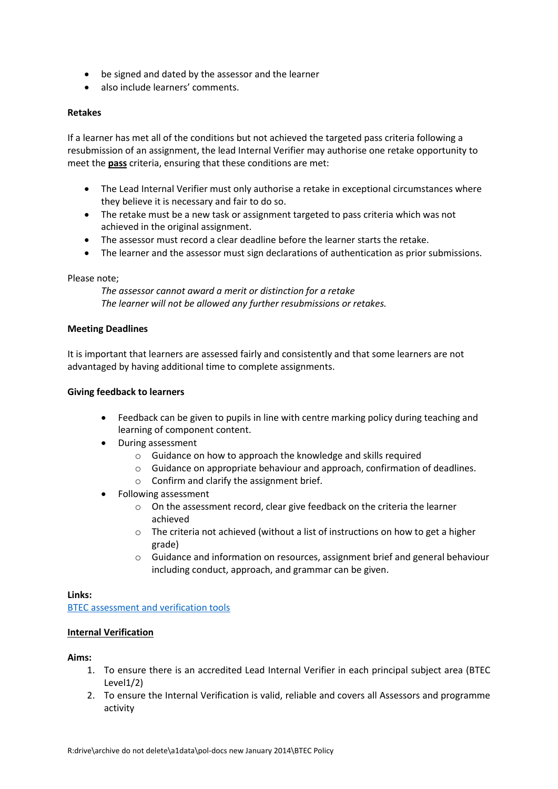- be signed and dated by the assessor and the learner
- also include learners' comments.

#### **Retakes**

If a learner has met all of the conditions but not achieved the targeted pass criteria following a resubmission of an assignment, the lead Internal Verifier may authorise one retake opportunity to meet the **pass** criteria, ensuring that these conditions are met:

- The Lead Internal Verifier must only authorise a retake in exceptional circumstances where they believe it is necessary and fair to do so.
- The retake must be a new task or assignment targeted to pass criteria which was not achieved in the original assignment.
- The assessor must record a clear deadline before the learner starts the retake.
- The learner and the assessor must sign declarations of authentication as prior submissions.

#### Please note;

*The assessor cannot award a merit or distinction for a retake The learner will not be allowed any further resubmissions or retakes.*

#### **Meeting Deadlines**

It is important that learners are assessed fairly and consistently and that some learners are not advantaged by having additional time to complete assignments.

#### **Giving feedback to learners**

- Feedback can be given to pupils in line with centre marking policy during teaching and learning of component content.
- During assessment
	- o Guidance on how to approach the knowledge and skills required
	- $\circ$  Guidance on appropriate behaviour and approach, confirmation of deadlines.
	- o Confirm and clarify the assignment brief.
- Following assessment
	- o On the assessment record, clear give feedback on the criteria the learner achieved
	- o The criteria not achieved (without a list of instructions on how to get a higher grade)
	- o Guidance and information on resources, assignment brief and general behaviour including conduct, approach, and grammar can be given.

#### **Links:**

[BTEC assessment and verification tools](https://qualifications.pearson.com/en/support/support-topics/assessment-and-verification/btec-assessment-and-verification-tools.html)

#### **Internal Verification**

#### **Aims:**

- 1. To ensure there is an accredited Lead Internal Verifier in each principal subject area (BTEC Level1/2)
- 2. To ensure the Internal Verification is valid, reliable and covers all Assessors and programme activity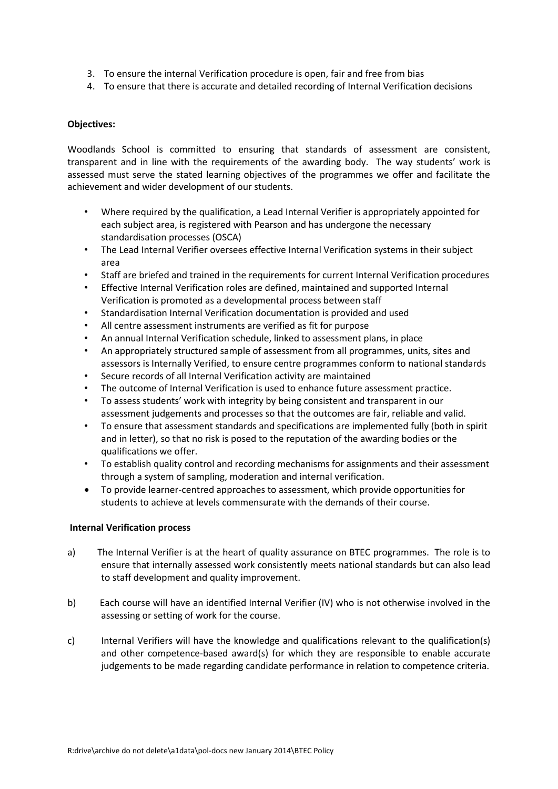- 3. To ensure the internal Verification procedure is open, fair and free from bias
- 4. To ensure that there is accurate and detailed recording of Internal Verification decisions

### **Objectives:**

Woodlands School is committed to ensuring that standards of assessment are consistent, transparent and in line with the requirements of the awarding body. The way students' work is assessed must serve the stated learning objectives of the programmes we offer and facilitate the achievement and wider development of our students.

- Where required by the qualification, a Lead Internal Verifier is appropriately appointed for each subject area, is registered with Pearson and has undergone the necessary standardisation processes (OSCA)
- The Lead Internal Verifier oversees effective Internal Verification systems in their subject area
- Staff are briefed and trained in the requirements for current Internal Verification procedures
- Effective Internal Verification roles are defined, maintained and supported Internal Verification is promoted as a developmental process between staff
- Standardisation Internal Verification documentation is provided and used
- All centre assessment instruments are verified as fit for purpose
- An annual Internal Verification schedule, linked to assessment plans, in place
- An appropriately structured sample of assessment from all programmes, units, sites and assessors is Internally Verified, to ensure centre programmes conform to national standards
- Secure records of all Internal Verification activity are maintained
- The outcome of Internal Verification is used to enhance future assessment practice.
- To assess students' work with integrity by being consistent and transparent in our assessment judgements and processes so that the outcomes are fair, reliable and valid.
- To ensure that assessment standards and specifications are implemented fully (both in spirit and in letter), so that no risk is posed to the reputation of the awarding bodies or the qualifications we offer.
- To establish quality control and recording mechanisms for assignments and their assessment through a system of sampling, moderation and internal verification.
- To provide learner-centred approaches to assessment, which provide opportunities for students to achieve at levels commensurate with the demands of their course.

#### **Internal Verification process**

- a) The Internal Verifier is at the heart of quality assurance on BTEC programmes. The role is to ensure that internally assessed work consistently meets national standards but can also lead to staff development and quality improvement.
- b) Each course will have an identified Internal Verifier (IV) who is not otherwise involved in the assessing or setting of work for the course.
- c) Internal Verifiers will have the knowledge and qualifications relevant to the qualification(s) and other competence-based award(s) for which they are responsible to enable accurate judgements to be made regarding candidate performance in relation to competence criteria.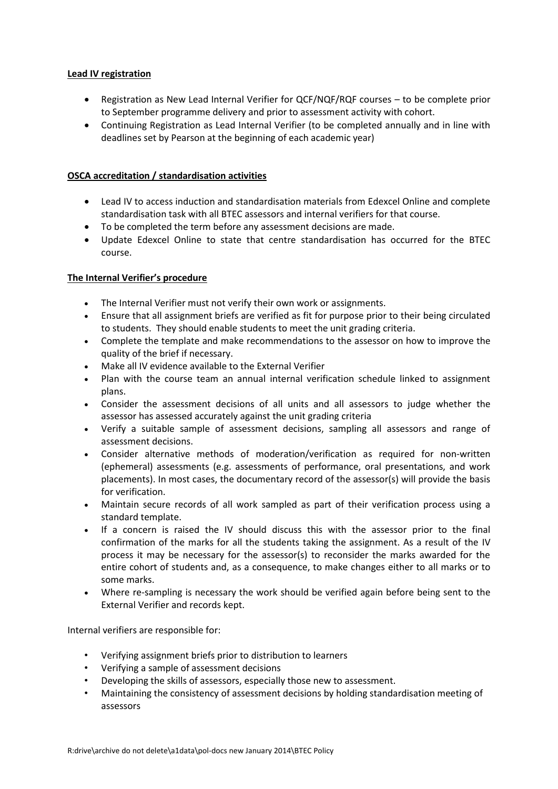### **Lead IV registration**

- Registration as New Lead Internal Verifier for QCF/NQF/RQF courses to be complete prior to September programme delivery and prior to assessment activity with cohort.
- Continuing Registration as Lead Internal Verifier (to be completed annually and in line with deadlines set by Pearson at the beginning of each academic year)

# **OSCA accreditation / standardisation activities**

- Lead IV to access induction and standardisation materials from Edexcel Online and complete standardisation task with all BTEC assessors and internal verifiers for that course.
- To be completed the term before any assessment decisions are made.
- Update Edexcel Online to state that centre standardisation has occurred for the BTEC course.

# **The Internal Verifier's procedure**

- The Internal Verifier must not verify their own work or assignments.
- Ensure that all assignment briefs are verified as fit for purpose prior to their being circulated to students. They should enable students to meet the unit grading criteria.
- Complete the template and make recommendations to the assessor on how to improve the quality of the brief if necessary.
- Make all IV evidence available to the External Verifier
- Plan with the course team an annual internal verification schedule linked to assignment plans.
- Consider the assessment decisions of all units and all assessors to judge whether the assessor has assessed accurately against the unit grading criteria
- Verify a suitable sample of assessment decisions, sampling all assessors and range of assessment decisions.
- Consider alternative methods of moderation/verification as required for non-written (ephemeral) assessments (e.g. assessments of performance, oral presentations, and work placements). In most cases, the documentary record of the assessor(s) will provide the basis for verification.
- Maintain secure records of all work sampled as part of their verification process using a standard template.
- If a concern is raised the IV should discuss this with the assessor prior to the final confirmation of the marks for all the students taking the assignment. As a result of the IV process it may be necessary for the assessor(s) to reconsider the marks awarded for the entire cohort of students and, as a consequence, to make changes either to all marks or to some marks.
- Where re-sampling is necessary the work should be verified again before being sent to the External Verifier and records kept.

Internal verifiers are responsible for:

- Verifying assignment briefs prior to distribution to learners
- Verifying a sample of assessment decisions
- Developing the skills of assessors, especially those new to assessment.
- Maintaining the consistency of assessment decisions by holding standardisation meeting of assessors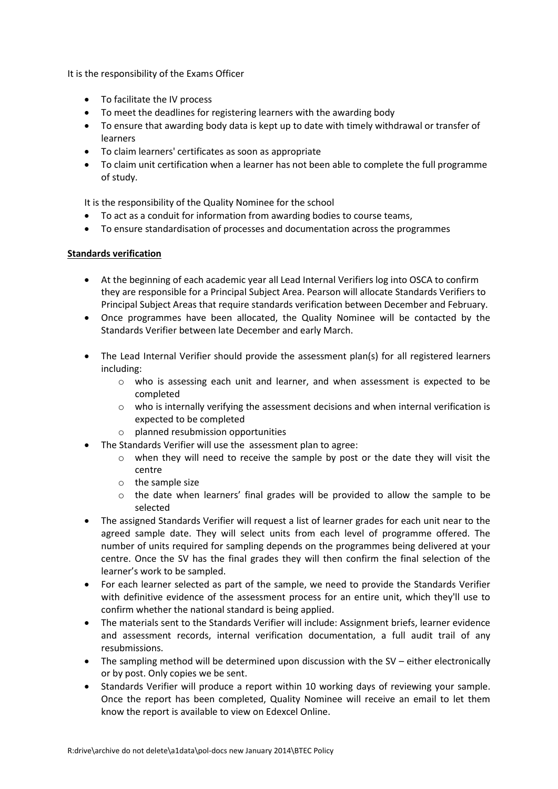It is the responsibility of the Exams Officer

- To facilitate the IV process
- To meet the deadlines for registering learners with the awarding body
- To ensure that awarding body data is kept up to date with timely withdrawal or transfer of learners
- To claim learners' certificates as soon as appropriate
- To claim unit certification when a learner has not been able to complete the full programme of study.

It is the responsibility of the Quality Nominee for the school

- To act as a conduit for information from awarding bodies to course teams,
- To ensure standardisation of processes and documentation across the programmes

#### **Standards verification**

- At the beginning of each academic year all Lead Internal Verifiers log into OSCA to confirm they are responsible for a Principal Subject Area. Pearson will allocate Standards Verifiers to Principal Subject Areas that require standards verification between December and February.
- Once programmes have been allocated, the Quality Nominee will be contacted by the Standards Verifier between late December and early March.
- The Lead Internal Verifier should provide the assessment plan(s) for all registered learners including:
	- o who is assessing each unit and learner, and when assessment is expected to be completed
	- $\circ$  who is internally verifying the assessment decisions and when internal verification is expected to be completed
	- o planned resubmission opportunities
- The Standards Verifier will use the assessment plan to agree:
	- $\circ$  when they will need to receive the sample by post or the date they will visit the centre
	- o the sample size
	- $\circ$  the date when learners' final grades will be provided to allow the sample to be selected
- The assigned Standards Verifier will request a list of learner grades for each unit near to the agreed sample date. They will select units from each level of programme offered. The number of units required for sampling depends on the programmes being delivered at your centre. Once the SV has the final grades they will then confirm the final selection of the learner's work to be sampled.
- For each learner selected as part of the sample, we need to provide the Standards Verifier with definitive evidence of the assessment process for an entire unit, which they'll use to confirm whether the national standard is being applied.
- The materials sent to the Standards Verifier will include: Assignment briefs, learner evidence and assessment records, internal verification documentation, a full audit trail of any resubmissions.
- The sampling method will be determined upon discussion with the SV either electronically or by post. Only copies we be sent.
- Standards Verifier will produce a report within 10 working days of reviewing your sample. Once the report has been completed, Quality Nominee will receive an email to let them know the report is available to view on Edexcel Online.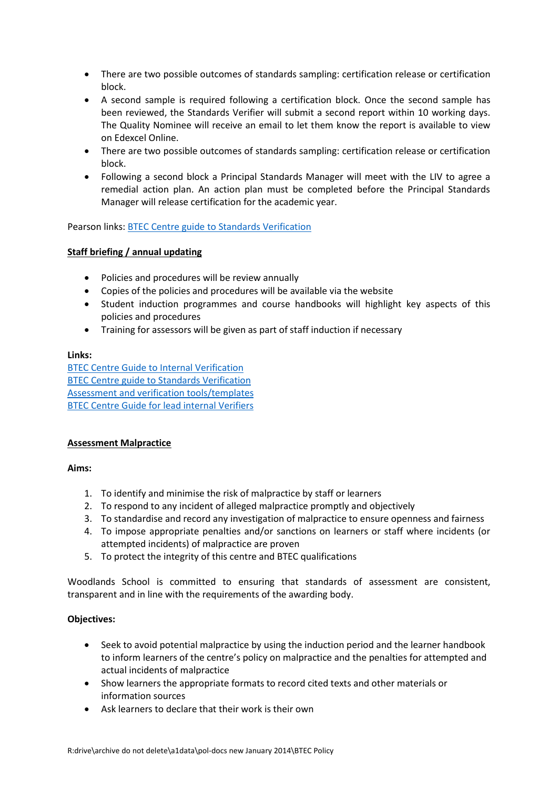- There are two possible outcomes of standards sampling: certification release or certification block.
- A second sample is required following a certification block. Once the second sample has been reviewed, the Standards Verifier will submit a second report within 10 working days. The Quality Nominee will receive an email to let them know the report is available to view on Edexcel Online.
- There are two possible outcomes of standards sampling: certification release or certification block.
- Following a second block a Principal Standards Manager will meet with the LIV to agree a remedial action plan. An action plan must be completed before the Principal Standards Manager will release certification for the academic year.

Pearson links: [BTEC Centre guide to Standards Verification](https://qualifications.pearson.com/en/support/support-topics/quality-assurance/btec-quality-assurance-handbook/standards-verification1.html)

# **Staff briefing / annual updating**

- Policies and procedures will be review annually
- Copies of the policies and procedures will be available via the website
- Student induction programmes and course handbooks will highlight key aspects of this policies and procedures
- Training for assessors will be given as part of staff induction if necessary

#### **Links:**

[BTEC Centre Guide to Internal Verification](https://qualifications.pearson.com/content/dam/pdf/BTEC-Firsts/news/btec-centre-guide-to-internal-verification.pdf) [BTEC Centre guide to Standards Verification](https://qualifications.pearson.com/en/support/support-topics/quality-assurance/btec-quality-assurance-handbook/standards-verification1.html) [Assessment and verification tools/templates](https://qualifications.pearson.com/en/support/support-topics/assessment-and-verification/btec-assessment-and-verification-tools.html) [BTEC Centre Guide for lead internal Verifiers](https://qualifications.pearson.com/content/dam/pdf/BTEC-Firsts/news/btec-centre-guide-to-internal-verification.pdf)

# **Assessment Malpractice**

#### **Aims:**

- 1. To identify and minimise the risk of malpractice by staff or learners
- 2. To respond to any incident of alleged malpractice promptly and objectively
- 3. To standardise and record any investigation of malpractice to ensure openness and fairness
- 4. To impose appropriate penalties and/or sanctions on learners or staff where incidents (or attempted incidents) of malpractice are proven
- 5. To protect the integrity of this centre and BTEC qualifications

Woodlands School is committed to ensuring that standards of assessment are consistent, transparent and in line with the requirements of the awarding body.

#### **Objectives:**

- Seek to avoid potential malpractice by using the induction period and the learner handbook to inform learners of the centre's policy on malpractice and the penalties for attempted and actual incidents of malpractice
- Show learners the appropriate formats to record cited texts and other materials or information sources
- Ask learners to declare that their work is their own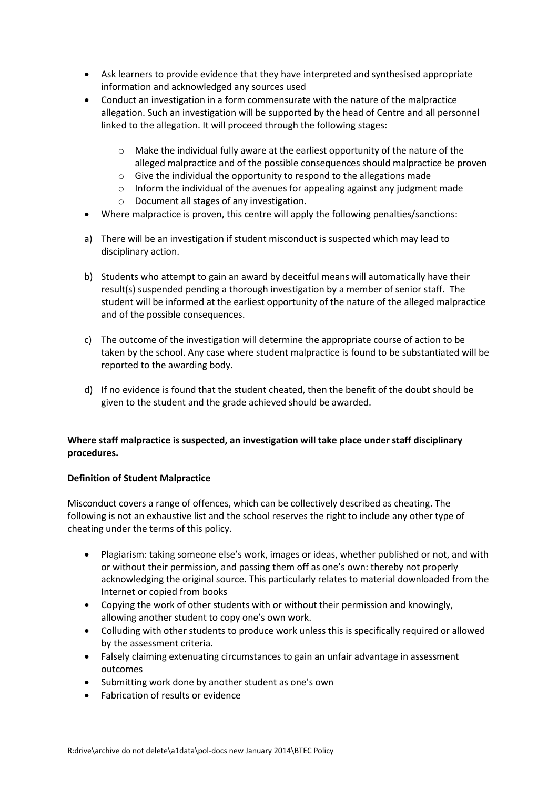- Ask learners to provide evidence that they have interpreted and synthesised appropriate information and acknowledged any sources used
- Conduct an investigation in a form commensurate with the nature of the malpractice allegation. Such an investigation will be supported by the head of Centre and all personnel linked to the allegation. It will proceed through the following stages:
	- $\circ$  Make the individual fully aware at the earliest opportunity of the nature of the alleged malpractice and of the possible consequences should malpractice be proven
	- $\circ$  Give the individual the opportunity to respond to the allegations made
	- o Inform the individual of the avenues for appealing against any judgment made
	- o Document all stages of any investigation.
- Where malpractice is proven, this centre will apply the following penalties/sanctions:
- a) There will be an investigation if student misconduct is suspected which may lead to disciplinary action.
- b) Students who attempt to gain an award by deceitful means will automatically have their result(s) suspended pending a thorough investigation by a member of senior staff. The student will be informed at the earliest opportunity of the nature of the alleged malpractice and of the possible consequences.
- c) The outcome of the investigation will determine the appropriate course of action to be taken by the school. Any case where student malpractice is found to be substantiated will be reported to the awarding body.
- d) If no evidence is found that the student cheated, then the benefit of the doubt should be given to the student and the grade achieved should be awarded.

# **Where staff malpractice is suspected, an investigation will take place under staff disciplinary procedures.**

# **Definition of Student Malpractice**

Misconduct covers a range of offences, which can be collectively described as cheating. The following is not an exhaustive list and the school reserves the right to include any other type of cheating under the terms of this policy.

- Plagiarism: taking someone else's work, images or ideas, whether published or not, and with or without their permission, and passing them off as one's own: thereby not properly acknowledging the original source. This particularly relates to material downloaded from the Internet or copied from books
- Copying the work of other students with or without their permission and knowingly, allowing another student to copy one's own work.
- Colluding with other students to produce work unless this is specifically required or allowed by the assessment criteria.
- Falsely claiming extenuating circumstances to gain an unfair advantage in assessment outcomes
- Submitting work done by another student as one's own
- Fabrication of results or evidence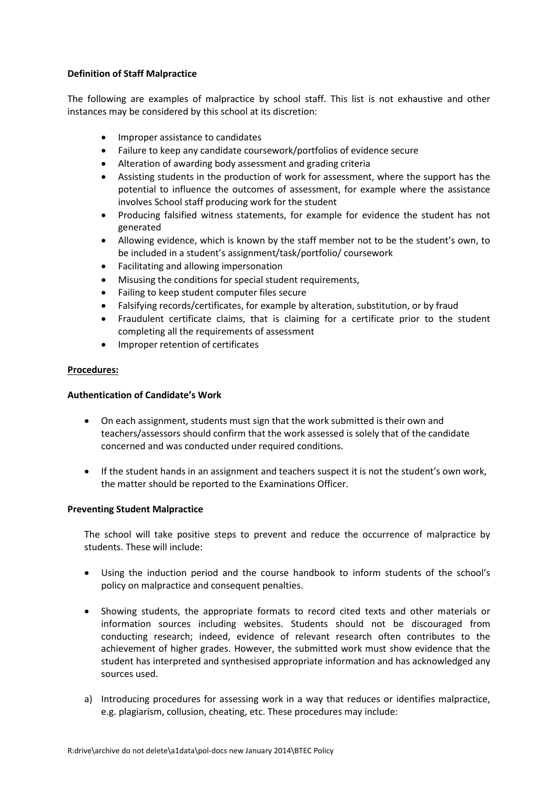### **Definition of Staff Malpractice**

The following are examples of malpractice by school staff. This list is not exhaustive and other instances may be considered by this school at its discretion:

- Improper assistance to candidates
- Failure to keep any candidate coursework/portfolios of evidence secure
- Alteration of awarding body assessment and grading criteria
- Assisting students in the production of work for assessment, where the support has the potential to influence the outcomes of assessment, for example where the assistance involves School staff producing work for the student
- Producing falsified witness statements, for example for evidence the student has not generated
- Allowing evidence, which is known by the staff member not to be the student's own, to be included in a student's assignment/task/portfolio/ coursework
- Facilitating and allowing impersonation
- Misusing the conditions for special student requirements,
- Failing to keep student computer files secure
- Falsifying records/certificates, for example by alteration, substitution, or by fraud
- Fraudulent certificate claims, that is claiming for a certificate prior to the student completing all the requirements of assessment
- Improper retention of certificates

#### **Procedures:**

#### **Authentication of Candidate's Work**

- On each assignment, students must sign that the work submitted is their own and teachers/assessors should confirm that the work assessed is solely that of the candidate concerned and was conducted under required conditions.
- If the student hands in an assignment and teachers suspect it is not the student's own work, the matter should be reported to the Examinations Officer.

#### **Preventing Student Malpractice**

The school will take positive steps to prevent and reduce the occurrence of malpractice by students. These will include:

- Using the induction period and the course handbook to inform students of the school's policy on malpractice and consequent penalties.
- Showing students, the appropriate formats to record cited texts and other materials or information sources including websites. Students should not be discouraged from conducting research; indeed, evidence of relevant research often contributes to the achievement of higher grades. However, the submitted work must show evidence that the student has interpreted and synthesised appropriate information and has acknowledged any sources used.
- a) Introducing procedures for assessing work in a way that reduces or identifies malpractice, e.g. plagiarism, collusion, cheating, etc. These procedures may include: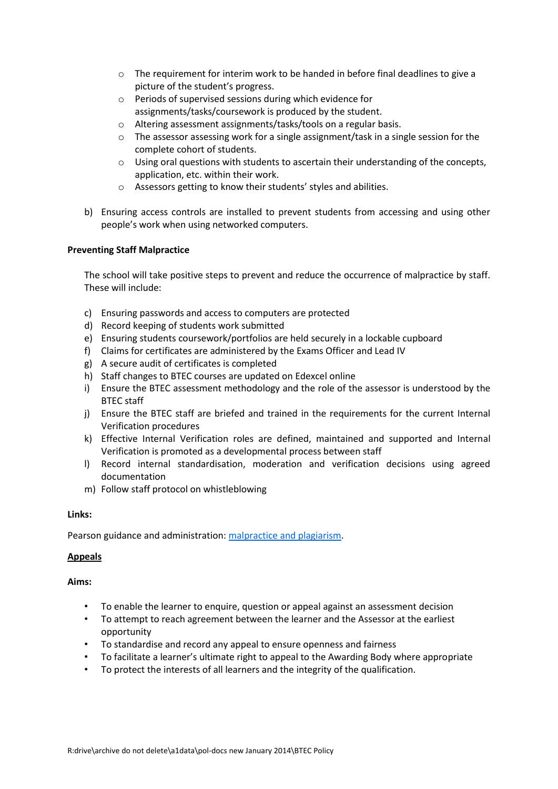- $\circ$  The requirement for interim work to be handed in before final deadlines to give a picture of the student's progress.
- o Periods of supervised sessions during which evidence for assignments/tasks/coursework is produced by the student.
- o Altering assessment assignments/tasks/tools on a regular basis.
- $\circ$  The assessor assessing work for a single assignment/task in a single session for the complete cohort of students.
- $\circ$  Using oral questions with students to ascertain their understanding of the concepts, application, etc. within their work.
- o Assessors getting to know their students' styles and abilities.
- b) Ensuring access controls are installed to prevent students from accessing and using other people's work when using networked computers.

# **Preventing Staff Malpractice**

The school will take positive steps to prevent and reduce the occurrence of malpractice by staff. These will include:

- c) Ensuring passwords and access to computers are protected
- d) Record keeping of students work submitted
- e) Ensuring students coursework/portfolios are held securely in a lockable cupboard
- f) Claims for certificates are administered by the Exams Officer and Lead IV
- g) A secure audit of certificates is completed
- h) Staff changes to BTEC courses are updated on Edexcel online
- i) Ensure the BTEC assessment methodology and the role of the assessor is understood by the BTEC staff
- j) Ensure the BTEC staff are briefed and trained in the requirements for the current Internal Verification procedures
- k) Effective Internal Verification roles are defined, maintained and supported and Internal Verification is promoted as a developmental process between staff
- l) Record internal standardisation, moderation and verification decisions using agreed documentation
- m) Follow staff protocol on whistleblowing

#### **Links:**

Pearson guidance and administration: [malpractice and plagiarism.](https://qualifications.pearson.com/en/support/support-topics/exams/examination-guidance/malpractice-and-plagiarism.html)

#### **Appeals**

#### **Aims:**

- To enable the learner to enquire, question or appeal against an assessment decision
- To attempt to reach agreement between the learner and the Assessor at the earliest opportunity
- To standardise and record any appeal to ensure openness and fairness
- To facilitate a learner's ultimate right to appeal to the Awarding Body where appropriate
- To protect the interests of all learners and the integrity of the qualification.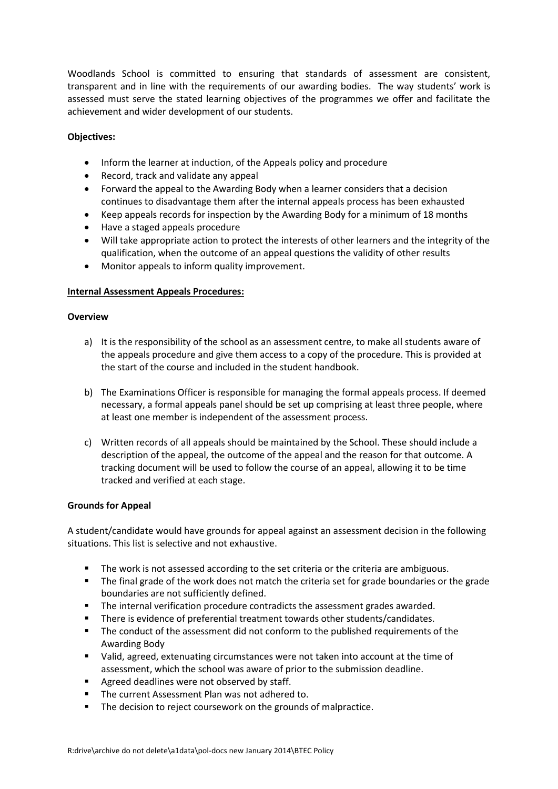Woodlands School is committed to ensuring that standards of assessment are consistent, transparent and in line with the requirements of our awarding bodies. The way students' work is assessed must serve the stated learning objectives of the programmes we offer and facilitate the achievement and wider development of our students.

#### **Objectives:**

- Inform the learner at induction, of the Appeals policy and procedure
- Record, track and validate any appeal
- Forward the appeal to the Awarding Body when a learner considers that a decision continues to disadvantage them after the internal appeals process has been exhausted
- Keep appeals records for inspection by the Awarding Body for a minimum of 18 months
- Have a staged appeals procedure
- Will take appropriate action to protect the interests of other learners and the integrity of the qualification, when the outcome of an appeal questions the validity of other results
- Monitor appeals to inform quality improvement.

#### **Internal Assessment Appeals Procedures:**

#### **Overview**

- a) It is the responsibility of the school as an assessment centre, to make all students aware of the appeals procedure and give them access to a copy of the procedure. This is provided at the start of the course and included in the student handbook.
- b) The Examinations Officer is responsible for managing the formal appeals process. If deemed necessary, a formal appeals panel should be set up comprising at least three people, where at least one member is independent of the assessment process.
- c) Written records of all appeals should be maintained by the School. These should include a description of the appeal, the outcome of the appeal and the reason for that outcome. A tracking document will be used to follow the course of an appeal, allowing it to be time tracked and verified at each stage.

#### **Grounds for Appeal**

A student/candidate would have grounds for appeal against an assessment decision in the following situations. This list is selective and not exhaustive.

- The work is not assessed according to the set criteria or the criteria are ambiguous.
- The final grade of the work does not match the criteria set for grade boundaries or the grade boundaries are not sufficiently defined.
- The internal verification procedure contradicts the assessment grades awarded.
- **There is evidence of preferential treatment towards other students/candidates.**
- The conduct of the assessment did not conform to the published requirements of the Awarding Body
- Valid, agreed, extenuating circumstances were not taken into account at the time of assessment, which the school was aware of prior to the submission deadline.
- **Agreed deadlines were not observed by staff.**
- The current Assessment Plan was not adhered to.
- The decision to reject coursework on the grounds of malpractice.